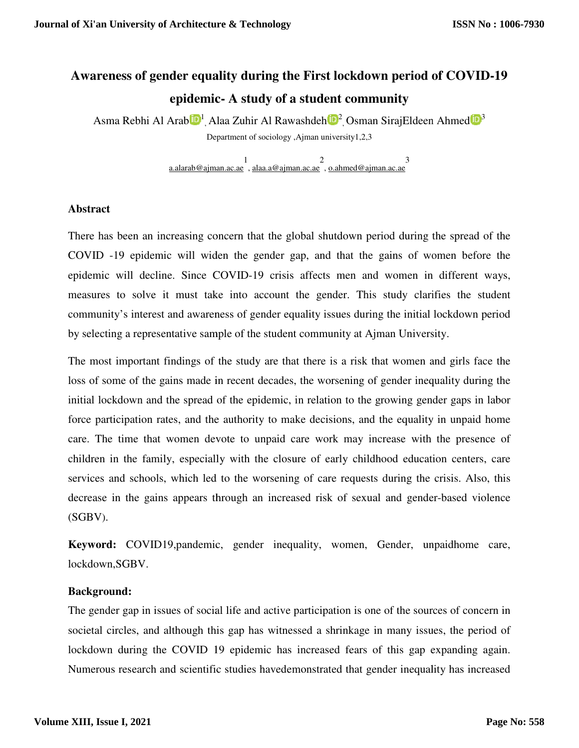# **Awareness of gender equality during the First lockdown period of COVID epidemic epidemic- A study of a student community**

Asma Rebhi Al Arab $\mathbf{D}^1$ , Alaa Zuhir Al Rawashdeh $\mathbf{D}^2$ , Osman SirajEldeen Ahmed $\mathbf{D}^3$ Department of sociology ,Ajman university1,2,3

> a.alarab@ajman.ac.ae 1 , alaa.a@ajman.ac.ae 2 , o.ahmed@ajman.ac.ae 3

### **Abstract**

There has been an increasing concern that the global shutdown period during the spread of the COVID -19 epidemic will widen the gender gap, and that the gains of women before the COVID -19 epidemic will widen the gender gap, and that the gains of women before the epidemic will decline. Since COVID-19 crisis affects men and women in different ways, measures to solve it must take into account the gender. This study clarifies the student community's interest and awareness of gender equality issues during the initial community's interest and awareness of gender equality issues during the initial locl<br>by selecting a representative sample of the student community at Ajman University. hat the global shutdown period during the spread of the gender gap, and that the gains of women before the 19 crisis affects men and women in different ways, account the gender. This study clarifies the student gender equa

The most important findings of the study are that there is a risk that women and girls face the loss of some of the gains made in recent decades, the worsening of gender inequality during the The most important findings of the study are that there is a risk that women and girls face the loss of some of the gains made in recent decades, the worsening of gender inequality during the initial lockdown and the sprea force participation rates, and the authority to make decisions, and the equality in unpaid home care. The time that women devote to unpaid care work may increase with the presence of children in the family, especially with the closure of early childhood education centers, care services and schools, which led to the worsening of care requests during the crisis. Also, this decrease in the gains appears through an increased risk of sexual and gender (SGBV). pation rates, and the authority to make decisions, and the equality in unpaid home<br>me that women devote to unpaid care work may increase with the presence of<br>the family, especially with the closure of early childhood educa and schools, which led to the worsening of care requests during the crisis. Also,<br>in the gains appears through an increased risk of sexual and gender-based viole<br>1: COVID19,pandemic, gender inequality, women, Gender, unpai **Example 19 for Example 19 for Example First lockdown period of COVID-19**<br> **CROMIC COVID-19**<br> **CROMIC COVID-19**<br> **CROMIC COVID-19**<br> **CROMIC COVID-19**<br> **CROMIC COVID-19**<br> **CROMIC COVID-19 CONID CONID CONID CONID CONID CO** gender gaps in labor<br>ulity in unpaid home gender-based violence **Journal of Xi'an University of Architecture & Technology**<br> **Awareness of gender equality during the First lockdown periophy**<br> **Position Community**<br> **Dependentic - A study of a student community**<br> **Dependentic - A study o** 

Keyword: COVID19,pandemic, gender inequality, women, Gender, unpaidhome care, lockdown,SGBV.

### **Background:**

The gender gap in issues of social life and active participation is one of the sources of concern in The gender gap in issues of social life and active participation is one of the sources of concern in<br>societal circles, and although this gap has witnessed a shrinkage in many issues, the period of lockdown during the COVID 19 epidemic has increased fears of this gap expanding again. Numerous research and scientific studies havedemonstrated that gender inequality has increased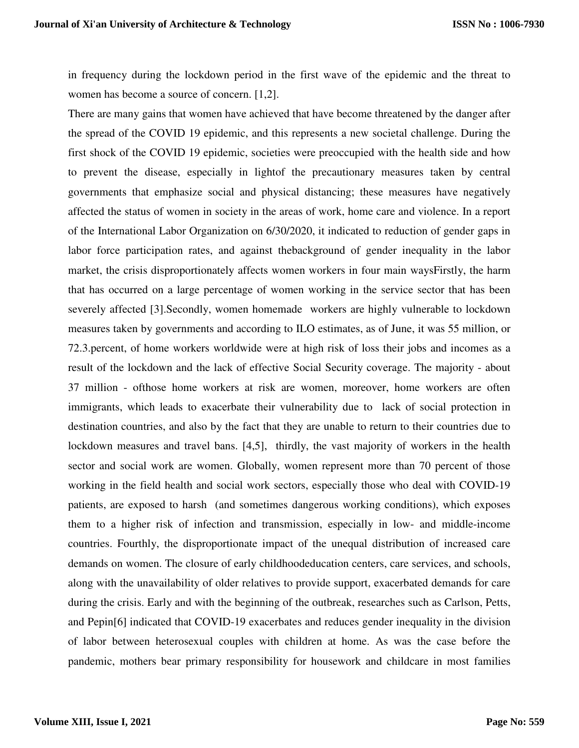in frequency during the lockdown period in the first wave of the epidemic and the threat to women has become a source of concern. [1,2].

There are many gains that women have achieved that have become threatened by the danger after the spread of the COVID 19 epidemic, and this represents a new societal challenge. During the first shock of the COVID 19 epidemic, societies were preoccupied with the health side and how to prevent the disease, especially in lightof the precautionary measures taken by central governments that emphasize social and physical distancing; these measures have negatively affected the status of women in society in the areas of work, home care and violence. In a report of the International Labor Organization on 6/30/2020, it indicated to reduction of gender gaps in labor force participation rates, and against thebackground of gender inequality in the labor market, the crisis disproportionately affects women workers in four main waysFirstly, the harm that has occurred on a large percentage of women working in the service sector that has been severely affected [3].Secondly, women homemade workers are highly vulnerable to lockdown measures taken by governments and according to ILO estimates, as of June, it was 55 million, or 72.3.percent, of home workers worldwide were at high risk of loss their jobs and incomes as a result of the lockdown and the lack of effective Social Security coverage. The majority - about 37 million - ofthose home workers at risk are women, moreover, home workers are often immigrants, which leads to exacerbate their vulnerability due to lack of social protection in destination countries, and also by the fact that they are unable to return to their countries due to lockdown measures and travel bans. [4,5], thirdly, the vast majority of workers in the health sector and social work are women. Globally, women represent more than 70 percent of those working in the field health and social work sectors, especially those who deal with COVID-19 patients, are exposed to harsh (and sometimes dangerous working conditions), which exposes them to a higher risk of infection and transmission, especially in low- and middle-income countries. Fourthly, the disproportionate impact of the unequal distribution of increased care demands on women. The closure of early childhoodeducation centers, care services, and schools, along with the unavailability of older relatives to provide support, exacerbated demands for care during the crisis. Early and with the beginning of the outbreak, researches such as Carlson, Petts, and Pepin[6] indicated that COVID-19 exacerbates and reduces gender inequality in the division of labor between heterosexual couples with children at home. As was the case before the pandemic, mothers bear primary responsibility for housework and childcare in most families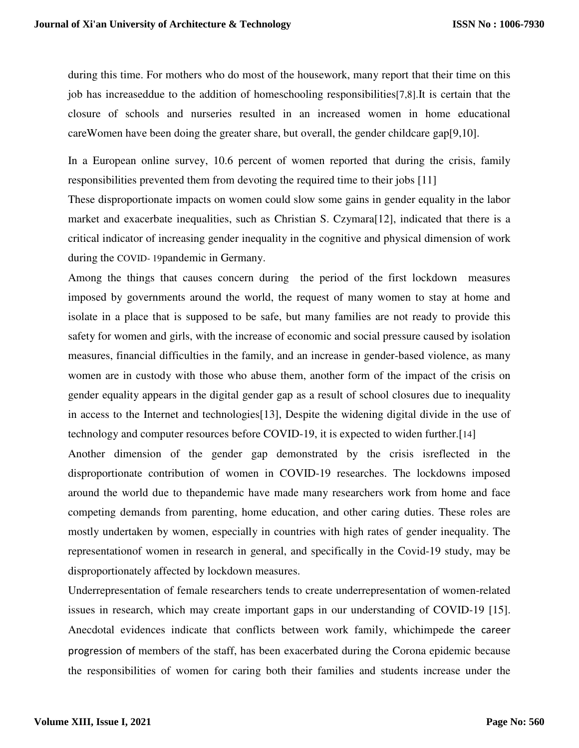during this time. For mothers who do most of the housework, many report that their time on this job has increaseddue to the addition of homeschooling responsibilities[7,8].It is certain that the closure of schools and nurseries resulted in an increased women in home educational careWomen have been doing the greater share, but overall, the gender childcare gap[9,10].

In a European online survey, 10.6 percent of women reported that during the crisis, family responsibilities prevented them from devoting the required time to their jobs [11]

These disproportionate impacts on women could slow some gains in gender equality in the labor market and exacerbate inequalities, such as Christian S. Czymara[12], indicated that there is a critical indicator of increasing gender inequality in the cognitive and physical dimension of work during the COVID- 19pandemic in Germany.

Among the things that causes concern during the period of the first lockdown measures imposed by governments around the world, the request of many women to stay at home and isolate in a place that is supposed to be safe, but many families are not ready to provide this safety for women and girls, with the increase of economic and social pressure caused by isolation measures, financial difficulties in the family, and an increase in gender-based violence, as many women are in custody with those who abuse them, another form of the impact of the crisis on gender equality appears in the digital gender gap as a result of school closures due to inequality in access to the Internet and technologies[13], Despite the widening digital divide in the use of technology and computer resources before COVID-19, it is expected to widen further.[14]

Another dimension of the gender gap demonstrated by the crisis isreflected in the disproportionate contribution of women in COVID-19 researches. The lockdowns imposed around the world due to thepandemic have made many researchers work from home and face competing demands from parenting, home education, and other caring duties. These roles are mostly undertaken by women, especially in countries with high rates of gender inequality. The representationof women in research in general, and specifically in the Covid-19 study, may be disproportionately affected by lockdown measures.

Underrepresentation of female researchers tends to create underrepresentation of women-related issues in research, which may create important gaps in our understanding of COVID-19 [15]. Anecdotal evidences indicate that conflicts between work family, whichimpede the career progression of members of the staff, has been exacerbated during the Corona epidemic because the responsibilities of women for caring both their families and students increase under the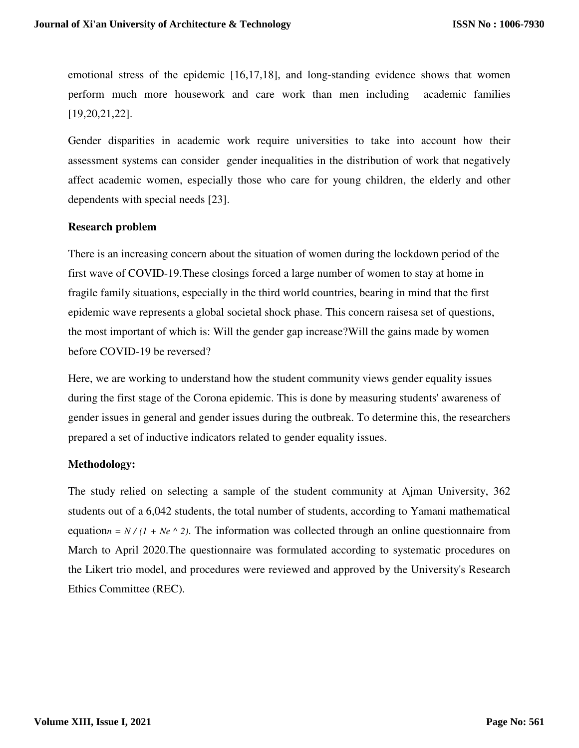emotional stress of the epidemic [16,17,18], and long-standing evidence shows that women perform much more housework and care work than men including academic families [19,20,21,22].

Gender disparities in academic work require universities to take into account how their assessment systems can consider gender inequalities in the distribution of work that negatively affect academic women, especially those who care for young children, the elderly and other dependents with special needs [23].

## **Research problem**

There is an increasing concern about the situation of women during the lockdown period of the first wave of COVID-19.These closings forced a large number of women to stay at home in fragile family situations, especially in the third world countries, bearing in mind that the first epidemic wave represents a global societal shock phase. This concern raisesa set of questions, the most important of which is: Will the gender gap increase?Will the gains made by women before COVID-19 be reversed?

Here, we are working to understand how the student community views gender equality issues during the first stage of the Corona epidemic. This is done by measuring students' awareness of gender issues in general and gender issues during the outbreak. To determine this, the researchers prepared a set of inductive indicators related to gender equality issues.

## **Methodology:**

The study relied on selecting a sample of the student community at Ajman University, 362 students out of a 6,042 students, the total number of students, according to Yamani mathematical equation<sub>n</sub> =  $N/(1 + Ne \wedge 2)$ . The information was collected through an online questionnaire from March to April 2020.The questionnaire was formulated according to systematic procedures on the Likert trio model, and procedures were reviewed and approved by the University's Research Ethics Committee (REC).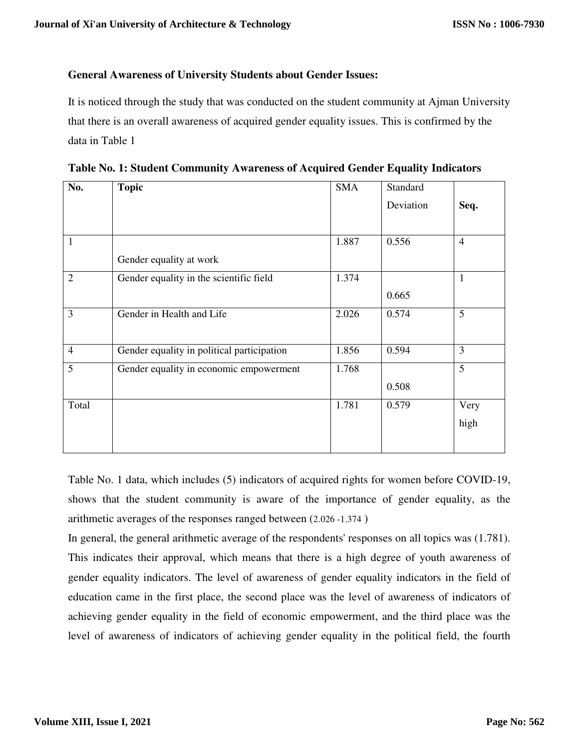## **General Awareness of University Students about Gender Issues:**

It is noticed through the study that was conducted on the student community at Ajman University that there is an overall awareness of acquired gender equality issues. This is confirmed by the data in Table 1

| No.            | <b>Topic</b>                               | <b>SMA</b> | Standard  |                |
|----------------|--------------------------------------------|------------|-----------|----------------|
|                |                                            |            | Deviation | Seq.           |
|                |                                            |            |           |                |
| 1              |                                            | 1.887      | 0.556     | $\overline{4}$ |
|                | Gender equality at work                    |            |           |                |
| $\overline{2}$ | Gender equality in the scientific field    | 1.374      |           | $\mathbf{1}$   |
|                |                                            |            | 0.665     |                |
| 3              | Gender in Health and Life                  | 2.026      | 0.574     | 5              |
|                |                                            |            |           |                |
| $\overline{4}$ | Gender equality in political participation | 1.856      | 0.594     | 3              |
| 5              | Gender equality in economic empowerment    | 1.768      |           | 5              |
|                |                                            |            | 0.508     |                |
| Total          |                                            | 1.781      | 0.579     | Very           |
|                |                                            |            |           | high           |
|                |                                            |            |           |                |

 **Table No. 1: Student Community Awareness of Acquired Gender Equality Indicators**

Table No. 1 data, which includes (5) indicators of acquired rights for women before COVID-19, shows that the student community is aware of the importance of gender equality, as the arithmetic averages of the responses ranged between (2.026 -1.374 )

In general, the general arithmetic average of the respondents' responses on all topics was (1.781). This indicates their approval, which means that there is a high degree of youth awareness of gender equality indicators. The level of awareness of gender equality indicators in the field of education came in the first place, the second place was the level of awareness of indicators of achieving gender equality in the field of economic empowerment, and the third place was the level of awareness of indicators of achieving gender equality in the political field, the fourth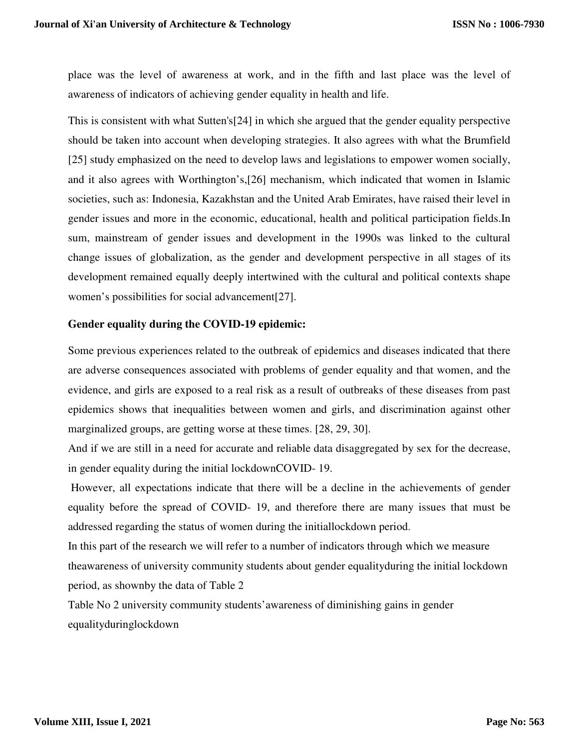place was the level of awareness at work, and in the fifth and last place was the level of awareness of indicators of achieving gender equality in health and life.

This is consistent with what Sutten's[24] in which she argued that the gender equality perspective should be taken into account when developing strategies. It also agrees with what the Brumfield [25] study emphasized on the need to develop laws and legislations to empower women socially, and it also agrees with Worthington's,[26] mechanism, which indicated that women in Islamic societies, such as: Indonesia, Kazakhstan and the United Arab Emirates, have raised their level in gender issues and more in the economic, educational, health and political participation fields.In sum, mainstream of gender issues and development in the 1990s was linked to the cultural change issues of globalization, as the gender and development perspective in all stages of its development remained equally deeply intertwined with the cultural and political contexts shape women's possibilities for social advancement[27].

## **Gender equality during the COVID-19 epidemic:**

Some previous experiences related to the outbreak of epidemics and diseases indicated that there are adverse consequences associated with problems of gender equality and that women, and the evidence, and girls are exposed to a real risk as a result of outbreaks of these diseases from past epidemics shows that inequalities between women and girls, and discrimination against other marginalized groups, are getting worse at these times. [28, 29, 30].

And if we are still in a need for accurate and reliable data disaggregated by sex for the decrease, in gender equality during the initial lockdownCOVID- 19.

 However, all expectations indicate that there will be a decline in the achievements of gender equality before the spread of COVID- 19, and therefore there are many issues that must be addressed regarding the status of women during the initiallockdown period.

In this part of the research we will refer to a number of indicators through which we measure theawareness of university community students about gender equalityduring the initial lockdown period, as shownby the data of Table 2

Table No 2 university community students'awareness of diminishing gains in gender equalityduringlockdown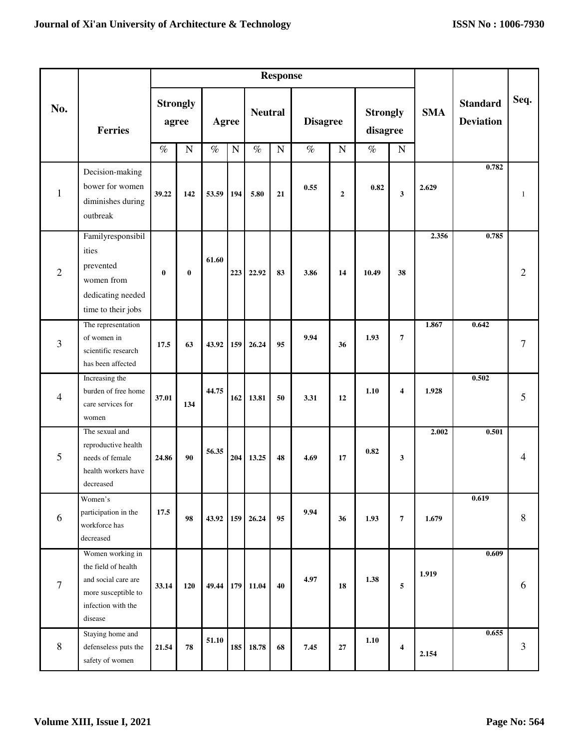|                |                                                                                                                        | <b>Response</b> |                                       |                                   |     |                                     |    |                                        |                |                                                    |                         |            |                                     |              |
|----------------|------------------------------------------------------------------------------------------------------------------------|-----------------|---------------------------------------|-----------------------------------|-----|-------------------------------------|----|----------------------------------------|----------------|----------------------------------------------------|-------------------------|------------|-------------------------------------|--------------|
| No.            | <b>Ferries</b>                                                                                                         | $\%$            | <b>Strongly</b><br>agree<br>${\bf N}$ | <b>Agree</b><br>$\%$<br>${\bf N}$ |     | <b>Neutral</b><br>$\%$<br>${\bf N}$ |    | <b>Disagree</b><br>$\%$<br>$\mathbf N$ |                | <b>Strongly</b><br>disagree<br>$\%$<br>$\mathbf N$ |                         | <b>SMA</b> | <b>Standard</b><br><b>Deviation</b> | Seq.         |
|                |                                                                                                                        |                 |                                       |                                   |     |                                     |    |                                        |                |                                                    |                         |            | 0.782                               |              |
| $\mathbf{1}$   | Decision-making<br>bower for women<br>diminishes during<br>outbreak                                                    | 39.22           | 142                                   | 53.59                             | 194 | 5.80                                | 21 | 0.55                                   | $\overline{2}$ | 0.82                                               | $\mathbf{3}$            | 2.629      |                                     | $\mathbf{1}$ |
| $\overline{2}$ | Familyresponsibil<br>ities<br>prevented<br>women from<br>dedicating needed<br>time to their jobs                       | $\bf{0}$        | $\bf{0}$                              | 61.60                             | 223 | 22.92                               | 83 | 3.86                                   | 14             | 10.49                                              | 38                      | 2.356      | 0.785                               | 2            |
| $\overline{3}$ | The representation<br>of women in<br>scientific research<br>has been affected                                          | 17.5            | 63                                    | 43.92                             | 159 | 26.24                               | 95 | 9.94                                   | 36             | 1.93                                               | $\overline{7}$          | 1.867      | 0.642                               | $\tau$       |
| $\overline{4}$ | Increasing the<br>burden of free home<br>care services for<br>women                                                    | 37.01           | 134                                   | 44.75                             | 162 | 13.81                               | 50 | 3.31                                   | 12             | 1.10                                               | $\overline{\mathbf{4}}$ | 1.928      | 0.502                               | 5            |
| 5              | The sexual and<br>reproductive health<br>needs of female<br>health workers have<br>decreased                           | 24.86           | 90                                    | 56.35                             | 204 | 13.25                               | 48 | 4.69                                   | 17             | 0.82                                               | 3                       | 2.002      | 0.501                               | 4            |
| 6              | Women's<br>participation in the<br>workforce has<br>decreased                                                          | 17.5            | 98                                    | 43.92                             | 159 | 26.24                               | 95 | 9.94                                   | 36             | 1.93                                               | $\overline{7}$          | 1.679      | 0.619                               | $\,8\,$      |
| $\overline{7}$ | Women working in<br>the field of health<br>and social care are<br>more susceptible to<br>infection with the<br>disease | 33.14           | 120                                   | 49.44                             |     | 179 11.04                           | 40 | 4.97                                   | 18             | 1.38                                               | 5                       | 1.919      | 0.609                               | 6            |
| $\, 8$         | Staying home and<br>defenseless puts the<br>safety of women                                                            | 21.54           | ${\bf 78}$                            | 51.10                             | 185 | 18.78                               | 68 | 7.45                                   | $\bf 27$       | 1.10                                               | $\overline{\mathbf{4}}$ | 2.154      | 0.655                               | 3            |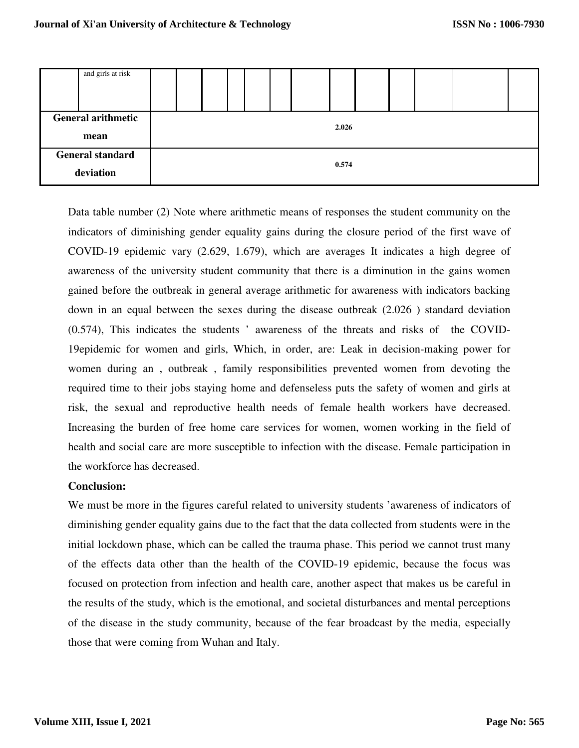| and girls at risk                    |       |  |  |  |  |  |  |  |  |  |  |  |  |
|--------------------------------------|-------|--|--|--|--|--|--|--|--|--|--|--|--|
| <b>General arithmetic</b><br>mean    | 2.026 |  |  |  |  |  |  |  |  |  |  |  |  |
| <b>General standard</b><br>deviation | 0.574 |  |  |  |  |  |  |  |  |  |  |  |  |

Data table number (2) Note where arithmetic means of responses the student community on the indicators of diminishing gender equality gains during the closure period of the first wave of COVID-19 epidemic vary (2.629, 1.679), which are averages It indicates a high degree of awareness of the university student community that there is a diminution in the gains women gained before the outbreak in general average arithmetic for awareness with indicators backing down in an equal between the sexes during the disease outbreak (2.026 ) standard deviation (0.574), This indicates the students ' awareness of the threats and risks of the COVID-19epidemic for women and girls, Which, in order, are: Leak in decision-making power for women during an , outbreak , family responsibilities prevented women from devoting the required time to their jobs staying home and defenseless puts the safety of women and girls at risk, the sexual and reproductive health needs of female health workers have decreased. Increasing the burden of free home care services for women, women working in the field of health and social care are more susceptible to infection with the disease. Female participation in the workforce has decreased.

### **Conclusion:**

We must be more in the figures careful related to university students 'awareness of indicators of diminishing gender equality gains due to the fact that the data collected from students were in the initial lockdown phase, which can be called the trauma phase. This period we cannot trust many of the effects data other than the health of the COVID-19 epidemic, because the focus was focused on protection from infection and health care, another aspect that makes us be careful in the results of the study, which is the emotional, and societal disturbances and mental perceptions of the disease in the study community, because of the fear broadcast by the media, especially those that were coming from Wuhan and Italy.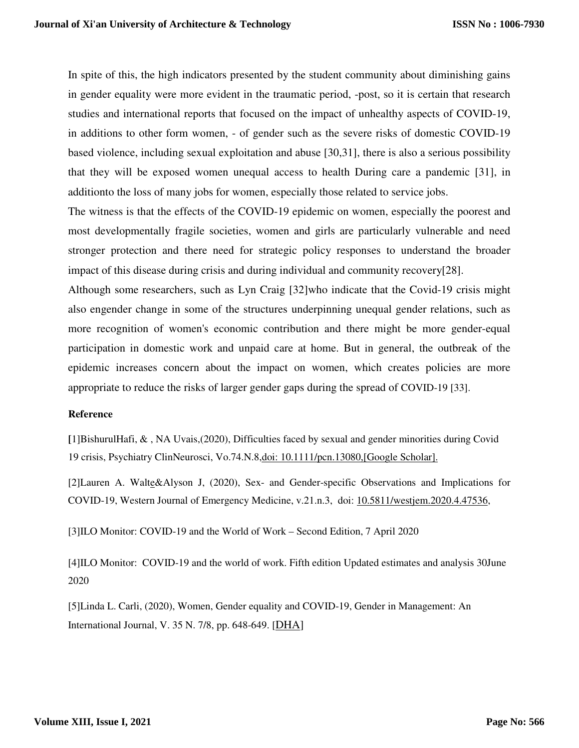In spite of this, the high indicators presented by the student community about diminishing gains in gender equality were more evident in the traumatic period, -post, so it is certain that research studies and international reports that focused on the impact of unhealthy aspects of COVID-19, in additions to other form women, - of gender such as the severe risks of domestic COVID-19 based violence, including sexual exploitation and abuse [30,31], there is also a serious possibility that they will be exposed women unequal access to health During care a pandemic [31], in additionto the loss of many jobs for women, especially those related to service jobs.

The witness is that the effects of the COVID-19 epidemic on women, especially the poorest and most developmentally fragile societies, women and girls are particularly vulnerable and need stronger protection and there need for strategic policy responses to understand the broader impact of this disease during crisis and during individual and community recovery[28].

Although some researchers, such as Lyn Craig [32]who indicate that the Covid-19 crisis might also engender change in some of the structures underpinning unequal gender relations, such as more recognition of women's economic contribution and there might be more gender-equal participation in domestic work and unpaid care at home. But in general, the outbreak of the epidemic increases concern about the impact on women, which creates policies are more appropriate to reduce the risks of larger gender gaps during the spread of COVID-19 [33].

### **Reference**

**[** ]1 BishurulHafi, & , NA Uvais,(2020), Difficulties faced by sexual and gender minorities during Covid 19 crisis, Psychiatry ClinNeurosci, Vo.74.N.8,doi: 10.1111/pcn.13080,[Google Scholar].

[2]Lauren A. Walte&Alyson J, (2020), Sex- and Gender-specific Observations and Implications for COVID-19, Western Journal of Emergency Medicine, v.21.n.3, doi: 10.5811/westjem.2020.4.47536,

[3]ILO Monitor: COVID-19 and the World of Work – Second Edition, 7 April 2020

[4]ILO Monitor: COVID-19 and the world of work. Fifth edition Updated estimates and analysis 30June 2020

[5]Linda L. Carli, (2020), Women, Gender equality and COVID-19, Gender in Management: An International Journal, V. 35 N. 7/8, pp. 648-649. [DHA ]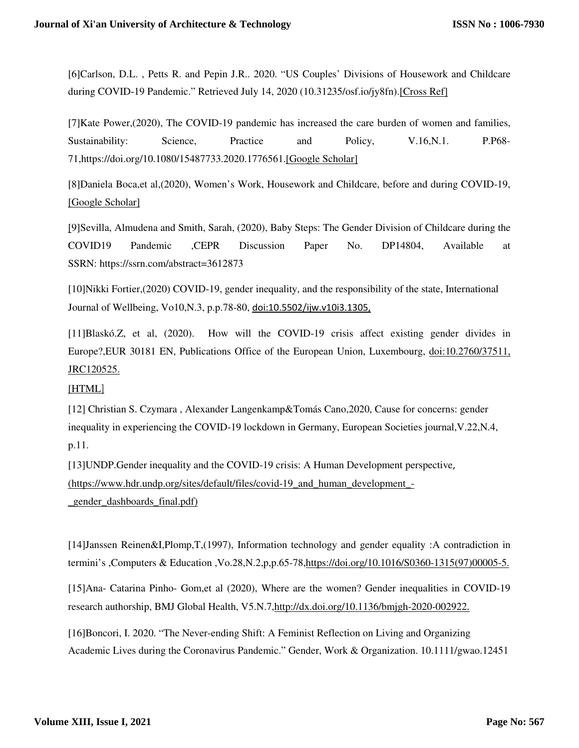[6]Carlson, D.L. , Petts R. and Pepin J.R.. 2020. "US Couples' Divisions of Housework and Childcare during COVID‐19 Pandemic." Retrieved July 14, 2020 (10.31235/osf.io/jy8fn).[Cross Ref]

[7]Kate Power,(2020), The COVID-19 pandemic has increased the care burden of women and families, Sustainability: Science, Practice and Policy, V.16,N.1. P.P68-71,https://doi.org/10.1080/15487733.2020.1776561.[Google Scholar]

[8]Daniela Boca,et al,(2020), Women's Work, Housework and Childcare, before and during COVID-19, [Google Scholar]

[9]Sevilla, Almudena and Smith, Sarah, (2020), Baby Steps: The Gender Division of Childcare during the COVID19 Pandemic ,CEPR Discussion Paper No. DP14804, Available at SSRN: https://ssrn.com/abstract=3612873

[10]Nikki Fortier,(2020) COVID-19, gender inequality, and the responsibility of the state, International Journal of Wellbeing, Vo10,N.3, p.p.78-80, doi:10.5502/ijw.v10i3.1305,

[11]Blaskó.Z, et al, (2020). How will the COVID-19 crisis affect existing gender divides in Europe?,EUR 30181 EN, Publications Office of the European Union, Luxembourg, doi:10.2760/37511, JRC120525.

#### [HTML]

[12] Christian S. Czymara , Alexander Langenkamp&Tomás Cano,2020, Cause for concerns: gender inequality in experiencing the COVID-19 lockdown in Germany, European Societies journal,V.22,N.4, p.11.

[13]UNDP.Gender inequality and the COVID-19 crisis: A Human Development perspective, (https://www.hdr.undp.org/sites/default/files/covid-19\_and\_human\_development\_- \_gender\_dashboards\_final.pdf)

[14]Janssen Reinen&I,Plomp,T,(1997), Information technology and gender equality :A contradiction in termini's ,Computers & Education ,Vo.28,N.2,p,p.65-78,https://doi.org/10.1016/S0360-1315(97)00005-5.

[15]Ana- Catarina Pinho- Gom,et al (2020), Where are the women? Gender inequalities in COVID-19 research authorship, BMJ Global Health, V5.N.7,http://dx.doi.org/10.1136/bmjgh-2020-002922.

[16]Boncori, I. 2020. "The Never-ending Shift: A Feminist Reflection on Living and Organizing Academic Lives during the Coronavirus Pandemic." Gender, Work & Organization. 10.1111/gwao.12451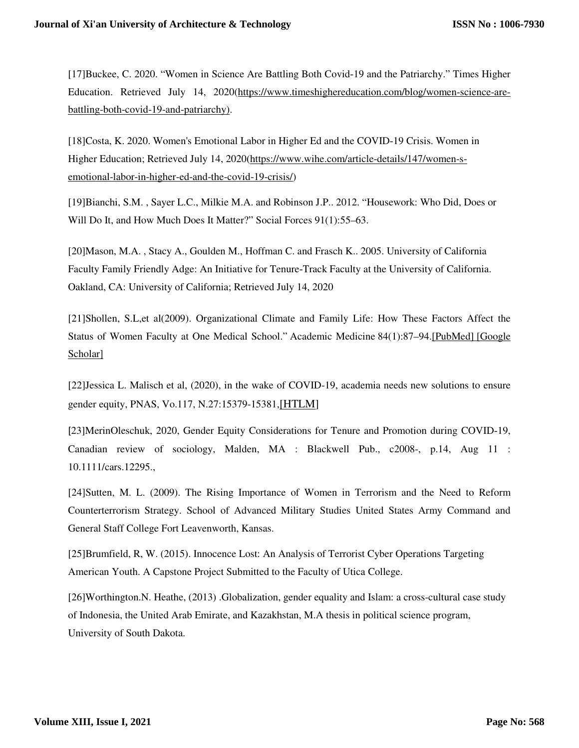[17]Buckee, C. 2020. "Women in Science Are Battling Both Covid‐19 and the Patriarchy." Times Higher Education. Retrieved July 14, 2020(https://www.timeshighereducation.com/blog/women-science-arebattling-both-covid-19-and-patriarchy).

[18]Costa, K. 2020. Women's Emotional Labor in Higher Ed and the COVID‐19 Crisis. Women in Higher Education; Retrieved July 14, 2020(https://www.wihe.com/article-details/147/women-semotional-labor-in-higher-ed-and-the-covid-19-crisis/)

[19]Bianchi, S.M. , Sayer L.C., Milkie M.A. and Robinson J.P.. 2012. "Housework: Who Did, Does or Will Do It, and How Much Does It Matter?" Social Forces 91(1):55–63.

[20]Mason, M.A. , Stacy A., Goulden M., Hoffman C. and Frasch K.. 2005. University of California Faculty Family Friendly Adge: An Initiative for Tenure‐Track Faculty at the University of California. Oakland, CA: University of California; Retrieved July 14, 2020

[21]Shollen, S.L,et al(2009). Organizational Climate and Family Life: How These Factors Affect the Status of Women Faculty at One Medical School." Academic Medicine 84(1):87–94.[PubMed] [Google Scholar]

[22]Jessica L. Malisch et al, (2020), in the wake of COVID-19, academia needs new solutions to ensure gender equity, PNAS, Vo.117, N.27:15379-15381,[HTLM]

[23]MerinOleschuk, 2020, Gender Equity Considerations for Tenure and Promotion during COVID‐19, Canadian review of sociology, Malden, MA : Blackwell Pub., c2008-, p.14, Aug 11 : 10.1111/cars.12295.,

[24]Sutten, M. L. (2009). The Rising Importance of Women in Terrorism and the Need to Reform Counterterrorism Strategy. School of Advanced Military Studies United States Army Command and General Staff College Fort Leavenworth, Kansas.

[25]Brumfield, R, W. (2015). Innocence Lost: An Analysis of Terrorist Cyber Operations Targeting American Youth. A Capstone Project Submitted to the Faculty of Utica College.

[26]Worthington.N. Heathe, (2013) .Globalization, gender equality and Islam: a cross-cultural case study of Indonesia, the United Arab Emirate, and Kazakhstan, M.A thesis in political science program, University of South Dakota.